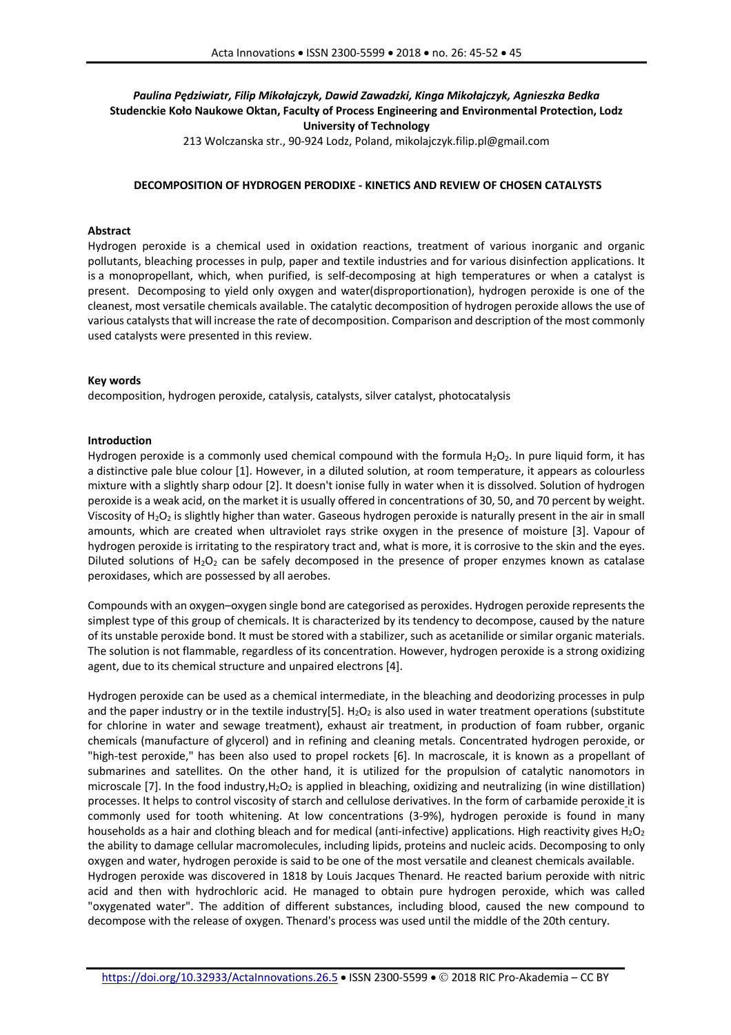# *Paulina Pędziwiatr, Filip Mikołajczyk, Dawid Zawadzki, Kinga Mikołajczyk, Agnieszka Bedka* **Studenckie Koło Naukowe Oktan, Faculty of Process Engineering and Environmental Protection, Lodz University of Technology**

213 Wolczanska str., 90-924 Lodz, Poland, mikolajczyk.filip.pl@gmail.com

### **DECOMPOSITION OF HYDROGEN PERODIXE - KINETICS AND REVIEW OF CHOSEN CATALYSTS**

### **Abstract**

Hydrogen peroxide is a chemical used in oxidation reactions, treatment of various inorganic and organic pollutants, bleaching processes in pulp, paper and textile industries and for various disinfection applications. It is a monopropellant, which, when purified, is self-decomposing at high temperatures or when a catalyst is present. Decomposing to yield only oxygen and water(disproportionation), hydrogen peroxide is one of the cleanest, most versatile chemicals available. The catalytic decomposition of hydrogen peroxide allows the use of various catalysts that will increase the rate of decomposition. Comparison and description of the most commonly used catalysts were presented in this review.

### **Key words**

decomposition, hydrogen peroxide, catalysis, catalysts, silver catalyst, photocatalysis

### **Introduction**

Hydrogen peroxide is a commonly used chemical compound with the formula  $H_2O_2$ . In pure liquid form, it has a distinctive pale blue colour [1]. However, in a diluted solution, at room temperature, it appears as colourless mixture with a slightly sharp odour [2]. It doesn't ionise fully in water when it is dissolved. Solution of hydrogen peroxide is a weak acid, on the market it is usually offered in concentrations of 30, 50, and 70 percent by weight. Viscosity of  $H_2O_2$  is slightly higher than water. Gaseous hydrogen peroxide is naturally present in the air in small amounts, which are created when ultraviolet rays strike oxygen in the presence of moisture [3]. Vapour of hydrogen peroxide is irritating to the respiratory tract and, what is more, it is corrosive to the skin and the eyes. Diluted solutions of  $H_2O_2$  can be safely decomposed in the presence of proper enzymes known as catalase peroxidases, which are possessed by all aerobes.

Compounds with an oxygen–oxygen single bond are categorised as peroxides. Hydrogen peroxide represents the simplest type of this group of chemicals. It is characterized by its tendency to decompose, caused by the nature of its unstable peroxide bond. It must be stored with a stabilizer, such as acetanilide or similar organic materials. The solution is not flammable, regardless of its concentration. However, hydrogen peroxide is a strong oxidizing agent, due to its chemical structure and unpaired electrons [4].

Hydrogen peroxide can be used as a chemical intermediate, in the bleaching and deodorizing processes in pulp and the paper industry or in the textile industry[5]. H<sub>2</sub>O<sub>2</sub> is also used in water treatment operations (substitute for chlorine in water and sewage treatment), exhaust air treatment, in production of foam rubber, organic chemicals (manufacture of glycerol) and in refining and cleaning metals. Concentrated hydrogen peroxide, or "high-test peroxide," has been also used to propel rockets [6]. In macroscale, it is known as a propellant of submarines and satellites. On the other hand, it is utilized for the propulsion of catalytic nanomotors in microscale [7]. In the food industry,  $H_2O_2$  is applied in bleaching, oxidizing and neutralizing (in wine distillation) processes. It helps to control viscosity of starch and cellulose derivatives. In the form of carbamide peroxide it is commonly used for tooth whitening. At low concentrations (3-9%), hydrogen peroxide is found in many households as a hair and clothing bleach and for medical (anti-infective) applications. High reactivity gives  $H_2O_2$ the ability to damage cellular macromolecules, including lipids, proteins and nucleic acids. Decomposing to only oxygen and water, hydrogen peroxide is said to be one of the most versatile and cleanest chemicals available. Hydrogen peroxide was discovered in 1818 by Louis Jacques Thenard. He reacted barium peroxide with nitric acid and then with hydrochloric acid. He managed to obtain pure hydrogen peroxide, which was called "oxygenated water". The addition of different substances, including blood, caused the new compound to decompose with the release of oxygen. Thenard's process was used until the middle of the 20th century.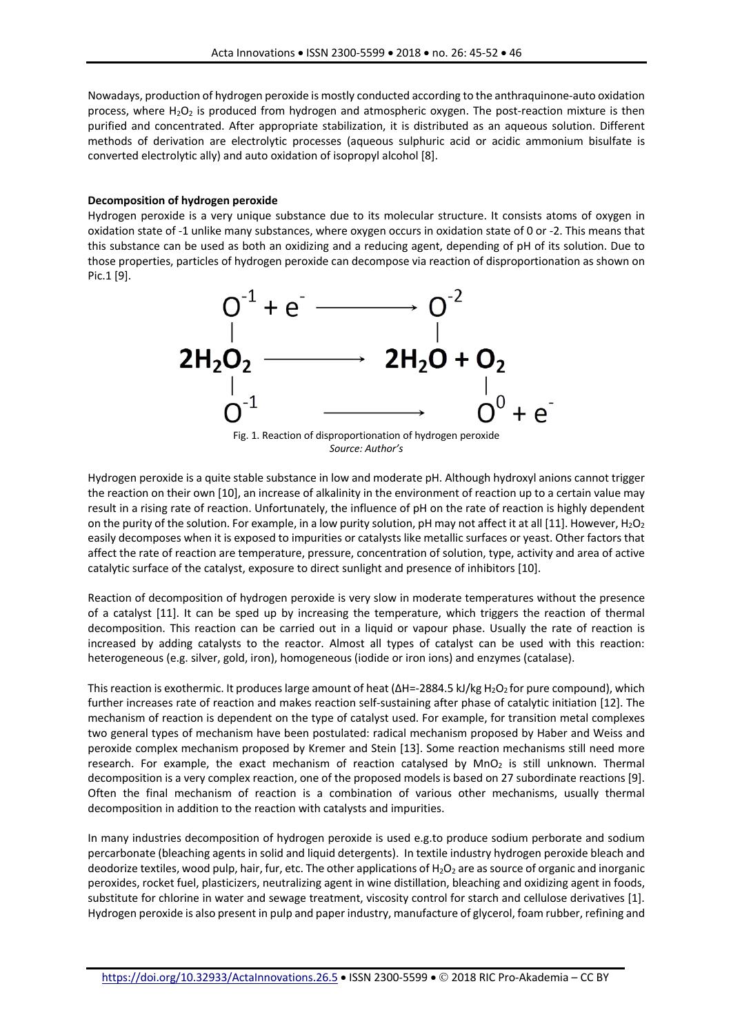Nowadays, production of hydrogen peroxide is mostly conducted according to the anthraquinone-auto oxidation process, where  $H_2O_2$  is produced from hydrogen and atmospheric oxygen. The post-reaction mixture is then purified and concentrated. After appropriate stabilization, it is distributed as an aqueous solution. Different methods of derivation are electrolytic processes (aqueous sulphuric acid or acidic ammonium bisulfate is converted electrolytic ally) and auto oxidation of isopropyl alcohol [8].

## **Decomposition of hydrogen peroxide**

Hydrogen peroxide is a very unique substance due to its molecular structure. It consists atoms of oxygen in oxidation state of -1 unlike many substances, where oxygen occurs in oxidation state of 0 or -2. This means that this substance can be used as both an oxidizing and a reducing agent, depending of pH of its solution. Due to those properties, particles of hydrogen peroxide can decompose via reaction of disproportionation as shown on Pic.1 [9].



*Source: Author's*

Hydrogen peroxide is a quite stable substance in low and moderate pH. Although hydroxyl anions cannot trigger the reaction on their own [10], an increase of alkalinity in the environment of reaction up to a certain value may result in a rising rate of reaction. Unfortunately, the influence of pH on the rate of reaction is highly dependent on the purity of the solution. For example, in a low purity solution, pH may not affect it at all [11]. However, H<sub>2</sub>O<sub>2</sub> easily decomposes when it is exposed to impurities or catalysts like metallic surfaces or yeast. Other factors that affect the rate of reaction are temperature, pressure, concentration of solution, type, activity and area of active catalytic surface of the catalyst, exposure to direct sunlight and presence of inhibitors [10].

Reaction of decomposition of hydrogen peroxide is very slow in moderate temperatures without the presence of a catalyst [11]. It can be sped up by increasing the temperature, which triggers the reaction of thermal decomposition. This reaction can be carried out in a liquid or vapour phase. Usually the rate of reaction is increased by adding catalysts to the reactor. Almost all types of catalyst can be used with this reaction: heterogeneous (e.g. silver, gold, iron), homogeneous (iodide or iron ions) and enzymes (catalase).

This reaction is exothermic. It produces large amount of heat (ΔH=-2884.5 kJ/kg H<sub>2</sub>O<sub>2</sub> for pure compound), which further increases rate of reaction and makes reaction self-sustaining after phase of catalytic initiation [12]. The mechanism of reaction is dependent on the type of catalyst used. For example, for transition metal complexes two general types of mechanism have been postulated: radical mechanism proposed by Haber and Weiss and peroxide complex mechanism proposed by Kremer and Stein [13]. Some reaction mechanisms still need more research. For example, the exact mechanism of reaction catalysed by  $MnO<sub>2</sub>$  is still unknown. Thermal decomposition is a very complex reaction, one of the proposed models is based on 27 subordinate reactions [9]. Often the final mechanism of reaction is a combination of various other mechanisms, usually thermal decomposition in addition to the reaction with catalysts and impurities.

In many industries decomposition of hydrogen peroxide is used e.g.to produce sodium perborate and sodium percarbonate (bleaching agents in solid and liquid detergents). In textile industry hydrogen peroxide bleach and deodorize textiles, wood pulp, hair, fur, etc. The other applications of  $H_2O_2$  are as source of organic and inorganic peroxides, rocket fuel, plasticizers, neutralizing agent in wine distillation, bleaching and oxidizing agent in foods, substitute for chlorine in water and sewage treatment, viscosity control for starch and cellulose derivatives [1]. Hydrogen peroxide is also present in pulp and paper industry, manufacture of glycerol, foam rubber, refining and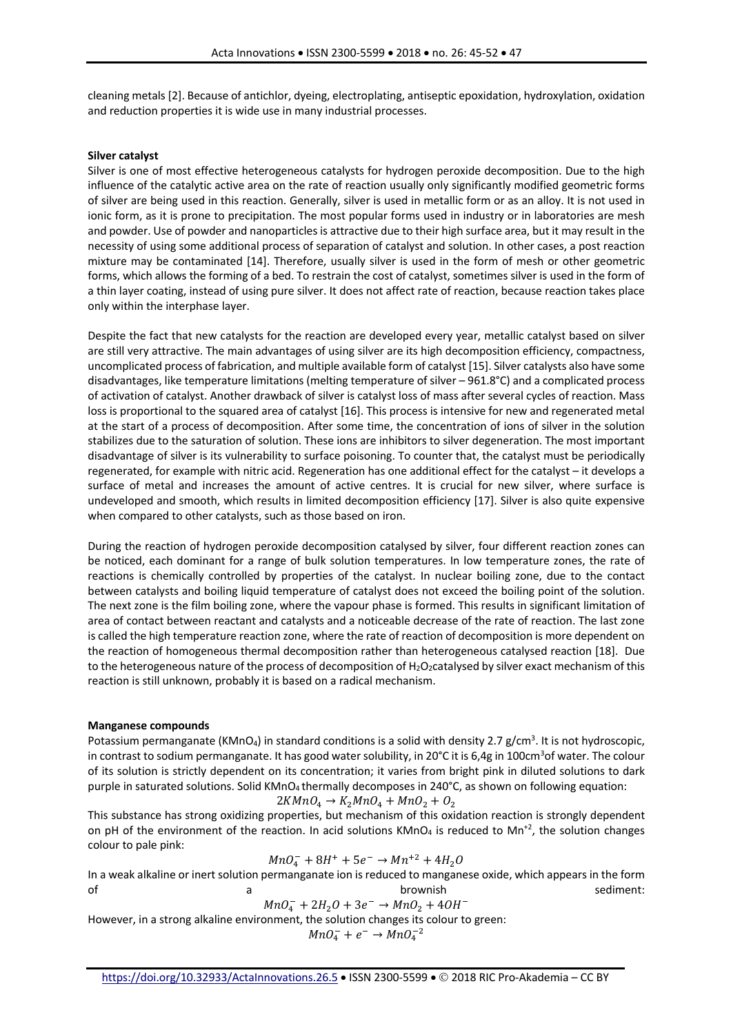cleaning metals [2]. Because of antichlor, dyeing, electroplating, antiseptic epoxidation, hydroxylation, oxidation and reduction properties it is wide use in many industrial processes.

### **Silver catalyst**

Silver is one of most effective heterogeneous catalysts for hydrogen peroxide decomposition. Due to the high influence of the catalytic active area on the rate of reaction usually only significantly modified geometric forms of silver are being used in this reaction. Generally, silver is used in metallic form or as an alloy. It is not used in ionic form, as it is prone to precipitation. The most popular forms used in industry or in laboratories are mesh and powder. Use of powder and nanoparticles is attractive due to their high surface area, but it may result in the necessity of using some additional process of separation of catalyst and solution. In other cases, a post reaction mixture may be contaminated [14]. Therefore, usually silver is used in the form of mesh or other geometric forms, which allows the forming of a bed. To restrain the cost of catalyst, sometimes silver is used in the form of a thin layer coating, instead of using pure silver. It does not affect rate of reaction, because reaction takes place only within the interphase layer.

Despite the fact that new catalysts for the reaction are developed every year, metallic catalyst based on silver are still very attractive. The main advantages of using silver are its high decomposition efficiency, compactness, uncomplicated process of fabrication, and multiple available form of catalyst [15]. Silver catalysts also have some disadvantages, like temperature limitations (melting temperature of silver – 961.8°C) and a complicated process of activation of catalyst. Another drawback of silver is catalyst loss of mass after several cycles of reaction. Mass loss is proportional to the squared area of catalyst [16]. This process is intensive for new and regenerated metal at the start of a process of decomposition. After some time, the concentration of ions of silver in the solution stabilizes due to the saturation of solution. These ions are inhibitors to silver degeneration. The most important disadvantage of silver is its vulnerability to surface poisoning. To counter that, the catalyst must be periodically regenerated, for example with nitric acid. Regeneration has one additional effect for the catalyst – it develops a surface of metal and increases the amount of active centres. It is crucial for new silver, where surface is undeveloped and smooth, which results in limited decomposition efficiency [17]. Silver is also quite expensive when compared to other catalysts, such as those based on iron.

During the reaction of hydrogen peroxide decomposition catalysed by silver, four different reaction zones can be noticed, each dominant for a range of bulk solution temperatures. In low temperature zones, the rate of reactions is chemically controlled by properties of the catalyst. In nuclear boiling zone, due to the contact between catalysts and boiling liquid temperature of catalyst does not exceed the boiling point of the solution. The next zone is the film boiling zone, where the vapour phase is formed. This results in significant limitation of area of contact between reactant and catalysts and a noticeable decrease of the rate of reaction. The last zone is called the high temperature reaction zone, where the rate of reaction of decomposition is more dependent on the reaction of homogeneous thermal decomposition rather than heterogeneous catalysed reaction [18]. Due to the heterogeneous nature of the process of decomposition of  $H_2O_2$ catalysed by silver exact mechanism of this reaction is still unknown, probably it is based on a radical mechanism.

# **Manganese compounds**

Potassium permanganate (KMnO<sub>4</sub>) in standard conditions is a solid with density 2.7 g/cm<sup>3</sup>. It is not hydroscopic, in contrast to sodium permanganate. It has good water solubility, in 20°C it is 6,4g in 100cm<sup>3</sup>of water. The colour of its solution is strictly dependent on its concentration; it varies from bright pink in diluted solutions to dark purple in saturated solutions. Solid KMnO<sub>4</sub> thermally decomposes in 240°C, as shown on following equation:

$$
2KMnO_4 \rightarrow K_2MnO_4 + MnO_2 + O_2
$$

This substance has strong oxidizing properties, but mechanism of this oxidation reaction is strongly dependent on pH of the environment of the reaction. In acid solutions  $KMnO_4$  is reduced to Mn<sup>+2</sup>, the solution changes colour to pale pink:

$$
MnO_4^- + 8H^+ + 5e^- \rightarrow Mn^{+2} + 4H_2O
$$

In a weak alkaline or inert solution permanganate ion is reduced to manganese oxide, which appears in the form of a a brownish sediment:

$$
MnO_4^- + 2H_2O + 3e^- \rightarrow MnO_2 + 4OH^-
$$

However, in a strong alkaline environment, the solution changes its colour to green:

 $MnO_4^- + e^- \rightarrow MnO_4^{-2}$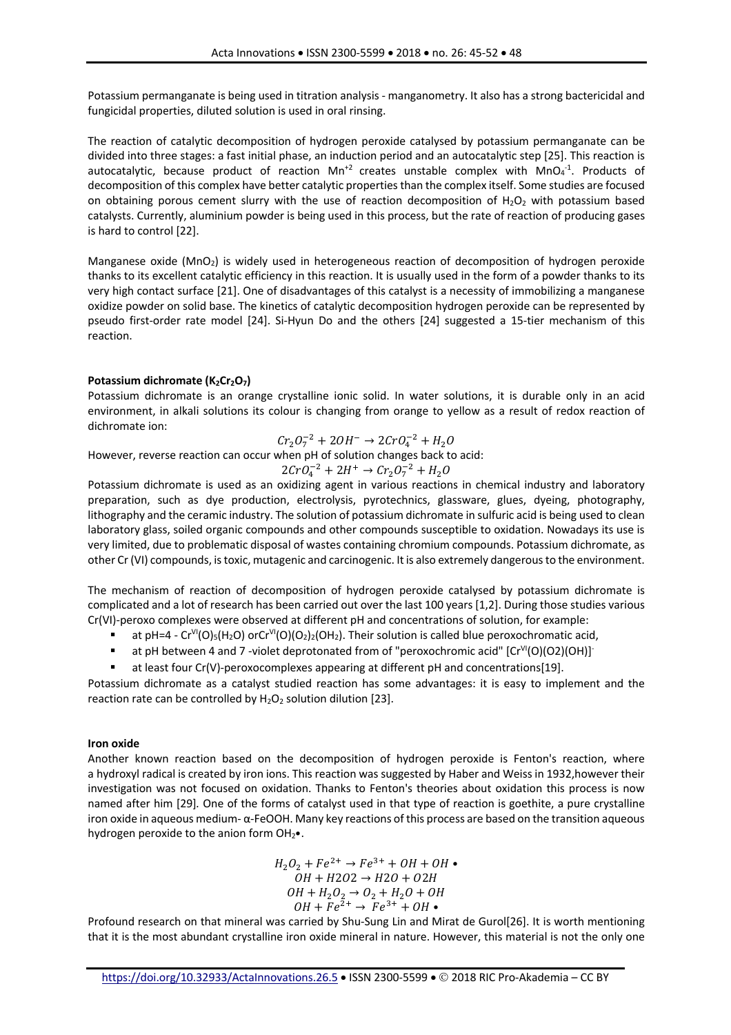Potassium permanganate is being used in titration analysis - manganometry. It also has a strong bactericidal and fungicidal properties, diluted solution is used in oral rinsing.

The reaction of catalytic decomposition of hydrogen peroxide catalysed by potassium permanganate can be divided into three stages: a fast initial phase, an induction period and an autocatalytic step [25]. This reaction is autocatalytic, because product of reaction Mn<sup>+2</sup> creates unstable complex with MnO<sub>4</sub><sup>-1</sup>. Products of decomposition of this complex have better catalytic properties than the complex itself. Some studies are focused on obtaining porous cement slurry with the use of reaction decomposition of  $H_2O_2$  with potassium based catalysts. Currently, aluminium powder is being used in this process, but the rate of reaction of producing gases is hard to control [22].

Manganese oxide (MnO2) is widely used in heterogeneous reaction of decomposition of hydrogen peroxide thanks to its excellent catalytic efficiency in this reaction. It is usually used in the form of a powder thanks to its very high contact surface [21]. One of disadvantages of this catalyst is a necessity of immobilizing a manganese oxidize powder on solid base. The kinetics of catalytic decomposition hydrogen peroxide can be represented by pseudo first-order rate model [24]. Si-Hyun Do and the others [24] suggested a 15-tier mechanism of this reaction.

# Potassium dichromate (K<sub>2</sub>Cr<sub>2</sub>O<sub>7</sub>)

Potassium dichromate is an orange crystalline ionic solid. In water solutions, it is durable only in an acid environment, in alkali solutions its colour is changing from orange to yellow as a result of redox reaction of dichromate ion:

$$
Cr_2O_7^{-2} + 2OH^- \rightarrow 2CrO_4^{-2} + H_2O
$$

However, reverse reaction can occur when pH of solution changes back to acid:

$$
2CrO_4^{-2} + 2H^+ \rightarrow Cr_2O_7^{-2} + H_2O
$$

Potassium dichromate is used as an oxidizing agent in various reactions in chemical industry and laboratory preparation, such as dye production, electrolysis, pyrotechnics, glassware, glues, dyeing, photography, lithography and the ceramic industry. The solution of potassium dichromate in sulfuric acid is being used to clean laboratory glass, soiled organic compounds and other compounds susceptible to oxidation. Nowadays its use is very limited, due to problematic disposal of wastes containing chromium compounds. Potassium dichromate, as other Cr (VI) compounds, is toxic, mutagenic and carcinogenic. It is also extremely dangerous to the environment.

The mechanism of reaction of decomposition of hydrogen peroxide catalysed by potassium dichromate is complicated and a lot of research has been carried out over the last 100 years [1,2]. During those studies various Cr(VI)-peroxo complexes were observed at different pH and concentrations of solution, for example:

- at pH=4  $Cr<sup>VI</sup>(O)_{5}(H_{2}O)$  or  $Cr<sup>VI</sup>(O)(O_{2})_{2}(OH_{2})$ . Their solution is called blue peroxochromatic acid,
- **a** at pH between 4 and 7 -violet deprotonated from of "peroxochromic acid"  $[Cr<sup>V1</sup>(O)(O2)(OH)]$ <sup>-</sup>
- § at least four Cr(V)-peroxocomplexes appearing at different pH and concentrations[19].

Potassium dichromate as a catalyst studied reaction has some advantages: it is easy to implement and the reaction rate can be controlled by  $H_2O_2$  solution dilution [23].

# **Iron oxide**

Another known reaction based on the decomposition of hydrogen peroxide is Fenton's reaction, where a hydroxyl radical is created by iron ions. This reaction was suggested by Haber and Weiss in 1932,however their investigation was not focused on oxidation. Thanks to Fenton's theories about oxidation this process is now named after him [29]*.* One of the forms of catalyst used in that type of reaction is goethite, a pure crystalline iron oxide in aqueous medium- $\alpha$ -FeOOH. Many key reactions of this process are based on the transition aqueous hydrogen peroxide to the anion form  $OH<sub>2</sub>$ .

> $H_2O_2 + Fe^{2+} \rightarrow Fe^{3+} + OH + OH$ .  $OH + H2O2 \rightarrow H2O + O2H$  $OH + H_2O_2 \rightarrow O_2 + H_2O + OH$  $OH + Fe^{2+} \rightarrow Fe^{3+} + OH \bullet$

Profound research on that mineral was carried by Shu-Sung Lin and Mirat de Gurol[26]. It is worth mentioning that it is the most abundant crystalline iron oxide mineral in nature. However, this material is not the only one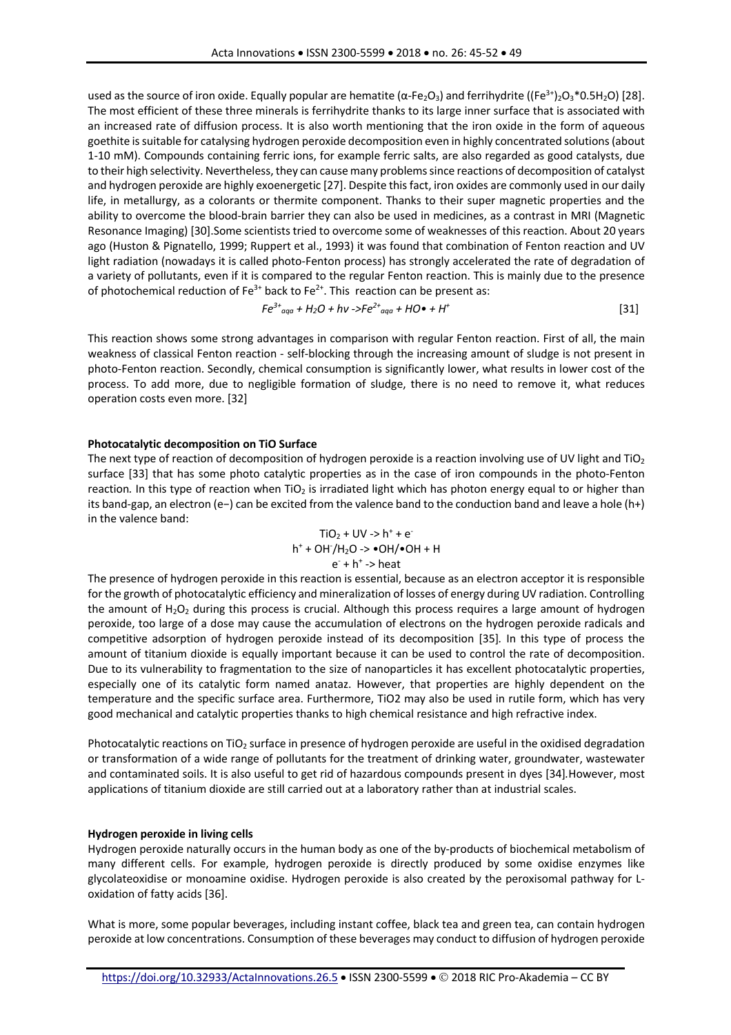used as the source of iron oxide. Equally popular are hematite ( $\alpha$ -Fe<sub>2</sub>O<sub>3</sub>) and ferrihydrite ((Fe<sup>3+</sup>)<sub>2</sub>O<sub>3</sub>\*0.5H<sub>2</sub>O) [28]. The most efficient of these three minerals is ferrihydrite thanks to its large inner surface that is associated with an increased rate of diffusion process. It is also worth mentioning that the iron oxide in the form of aqueous goethite is suitable for catalysing hydrogen peroxide decomposition even in highly concentrated solutions (about 1-10 mM). Compounds containing ferric ions, for example ferric salts, are also regarded as good catalysts, due to their high selectivity. Nevertheless, they can cause many problems since reactions of decomposition of catalyst and hydrogen peroxide are highly exoenergetic [27]. Despite this fact, iron oxides are commonly used in our daily life, in metallurgy, as a colorants or thermite component. Thanks to their super magnetic properties and the ability to overcome the blood-brain barrier they can also be used in medicines, as a contrast in MRI (Magnetic Resonance Imaging) [30].Some scientists tried to overcome some of weaknesses of this reaction. About 20 years ago (Huston & Pignatello, 1999; Ruppert et al., 1993) it was found that combination of Fenton reaction and UV light radiation (nowadays it is called photo-Fenton process) has strongly accelerated the rate of degradation of a variety of pollutants, even if it is compared to the regular Fenton reaction. This is mainly due to the presence of photochemical reduction of Fe<sup>3+</sup> back to Fe<sup>2+</sup>. This reaction can be present as:

$$
Fe^{3+}{}_{aqa} + H_2O + hv \rightarrow Fe^{2+}{}_{aqa} + HO \bullet + H^+ \tag{31}
$$

This reaction shows some strong advantages in comparison with regular Fenton reaction. First of all, the main weakness of classical Fenton reaction - self-blocking through the increasing amount of sludge is not present in photo-Fenton reaction. Secondly, chemical consumption is significantly lower, what results in lower cost of the process. To add more, due to negligible formation of sludge, there is no need to remove it, what reduces operation costs even more. [32]

### **Photocatalytic decomposition on TiO Surface**

The next type of reaction of decomposition of hydrogen peroxide is a reaction involving use of UV light and TiO<sub>2</sub> surface [33] that has some photo catalytic properties as in the case of iron compounds in the photo-Fenton reaction. In this type of reaction when TiO<sub>2</sub> is irradiated light which has photon energy equal to or higher than its band-gap, an electron (e−) can be excited from the valence band to the conduction band and leave a hole (h+) in the valence band:

$$
TiO2 + UV > h+ + e-
$$
  
h<sup>+</sup> + OH<sup>-</sup>/H<sub>2</sub>O -> •OH/•OH + H  
e<sup>-</sup> + h<sup>+</sup> > heat

The presence of hydrogen peroxide in this reaction is essential, because as an electron acceptor it is responsible for the growth of photocatalytic efficiency and mineralization of losses of energy during UV radiation. Controlling the amount of  $H_2O_2$  during this process is crucial. Although this process requires a large amount of hydrogen peroxide, too large of a dose may cause the accumulation of electrons on the hydrogen peroxide radicals and competitive adsorption of hydrogen peroxide instead of its decomposition [35]*.* In this type of process the amount of titanium dioxide is equally important because it can be used to control the rate of decomposition. Due to its vulnerability to fragmentation to the size of nanoparticles it has excellent photocatalytic properties, especially one of its catalytic form named anataz. However, that properties are highly dependent on the temperature and the specific surface area. Furthermore, TiO2 may also be used in rutile form, which has very good mechanical and catalytic properties thanks to high chemical resistance and high refractive index.

Photocatalytic reactions on TiO<sub>2</sub> surface in presence of hydrogen peroxide are useful in the oxidised degradation or transformation of a wide range of pollutants for the treatment of drinking water, groundwater, wastewater and contaminated soils. It is also useful to get rid of hazardous compounds present in dyes [34]*.*However, most applications of titanium dioxide are still carried out at a laboratory rather than at industrial scales.

### **Hydrogen peroxide in living cells**

Hydrogen peroxide naturally occurs in the human body as one of the by-products of biochemical metabolism of many different cells. For example, hydrogen peroxide is directly produced by some oxidise enzymes like glycolateoxidise or monoamine oxidise. Hydrogen peroxide is also created by the peroxisomal pathway for Loxidation of fatty acids [36].

What is more, some popular beverages, including instant coffee, black tea and green tea, can contain hydrogen peroxide at low concentrations. Consumption of these beverages may conduct to diffusion of hydrogen peroxide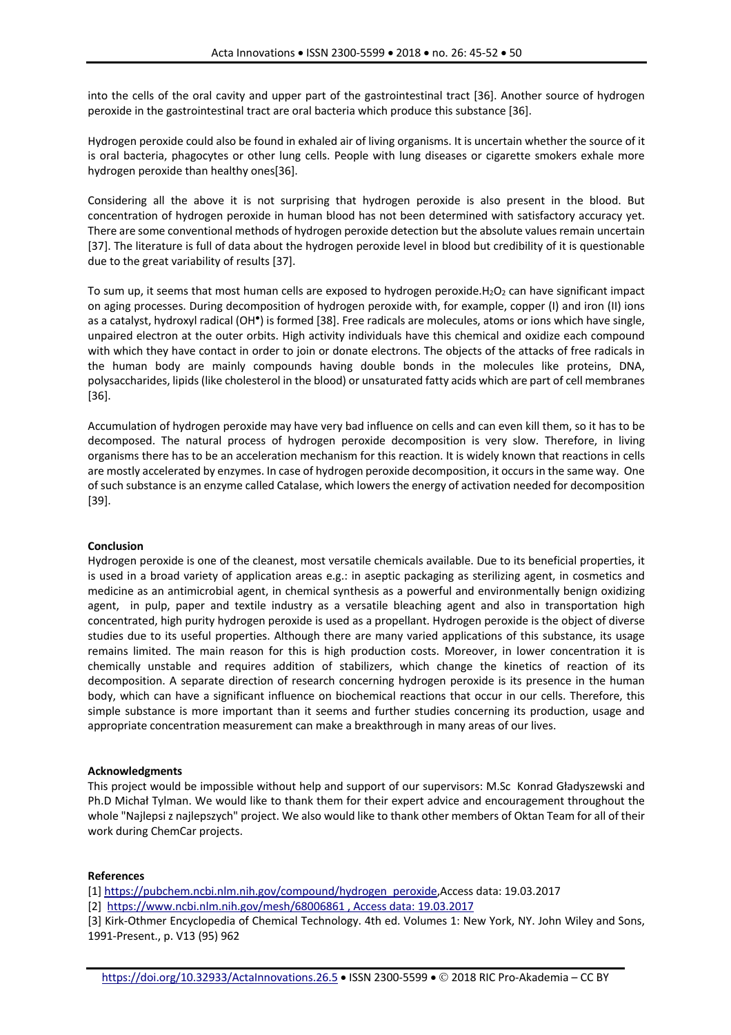into the cells of the oral cavity and upper part of the gastrointestinal tract [36]. Another source of hydrogen peroxide in the gastrointestinal tract are oral bacteria which produce this substance [36].

Hydrogen peroxide could also be found in exhaled air of living organisms. It is uncertain whether the source of it is oral bacteria, phagocytes or other lung cells. People with lung diseases or cigarette smokers exhale more hydrogen peroxide than healthy ones[36].

Considering all the above it is not surprising that hydrogen peroxide is also present in the blood. But concentration of hydrogen peroxide in human blood has not been determined with satisfactory accuracy yet. There are some conventional methods of hydrogen peroxide detection but the absolute values remain uncertain [37]. The literature is full of data about the hydrogen peroxide level in blood but credibility of it is questionable due to the great variability of results [37].

To sum up, it seems that most human cells are exposed to hydrogen peroxide. $H_2O_2$  can have significant impact on aging processes. During decomposition of hydrogen peroxide with, for example, copper (I) and iron (II) ions as a catalyst, hydroxyl radical (OH●) is formed [38]. Free radicals are molecules, atoms or ions which have single, unpaired electron at the outer orbits. High activity individuals have this chemical and oxidize each compound with which they have contact in order to join or donate electrons. The objects of the attacks of free radicals in the human body are mainly compounds having double bonds in the molecules like proteins, DNA, polysaccharides, lipids (like cholesterol in the blood) or unsaturated fatty acids which are part of cell membranes [36].

Accumulation of hydrogen peroxide may have very bad influence on cells and can even kill them, so it has to be decomposed. The natural process of hydrogen peroxide decomposition is very slow. Therefore, in living organisms there has to be an acceleration mechanism for this reaction. It is widely known that reactions in cells are mostly accelerated by enzymes. In case of hydrogen peroxide decomposition, it occurs in the same way. One of such substance is an enzyme called Catalase, which lowers the energy of activation needed for decomposition [39].

### **Conclusion**

Hydrogen peroxide is one of the cleanest, most versatile chemicals available. Due to its beneficial properties, it is used in a broad variety of application areas e.g.: in aseptic packaging as sterilizing agent, in cosmetics and medicine as an antimicrobial agent, in chemical synthesis as a powerful and environmentally benign oxidizing agent, in pulp, paper and textile industry as a versatile bleaching agent and also in transportation high concentrated, high purity hydrogen peroxide is used as a propellant. Hydrogen peroxide is the object of diverse studies due to its useful properties. Although there are many varied applications of this substance, its usage remains limited. The main reason for this is high production costs. Moreover, in lower concentration it is chemically unstable and requires addition of stabilizers, which change the kinetics of reaction of its decomposition. A separate direction of research concerning hydrogen peroxide is its presence in the human body, which can have a significant influence on biochemical reactions that occur in our cells. Therefore, this simple substance is more important than it seems and further studies concerning its production, usage and appropriate concentration measurement can make a breakthrough in many areas of our lives.

### **Acknowledgments**

This project would be impossible without help and support of our supervisors: M.Sc Konrad Gładyszewski and Ph.D Michał Tylman. We would like to thank them for their expert advice and encouragement throughout the whole "Najlepsi z najlepszych" project. We also would like to thank other members of Oktan Team for all of their work during ChemCar projects.

### **References**

[1] https://pubchem.ncbi.nlm.nih.gov/compound/hydrogen\_peroxide,Access data: 19.03.2017

[2] https://www.ncbi.nlm.nih.gov/mesh/68006861 , Access data: 19.03.2017

[3] Kirk-Othmer Encyclopedia of Chemical Technology. 4th ed. Volumes 1: New York, NY. John Wiley and Sons, 1991-Present., p. V13 (95) 962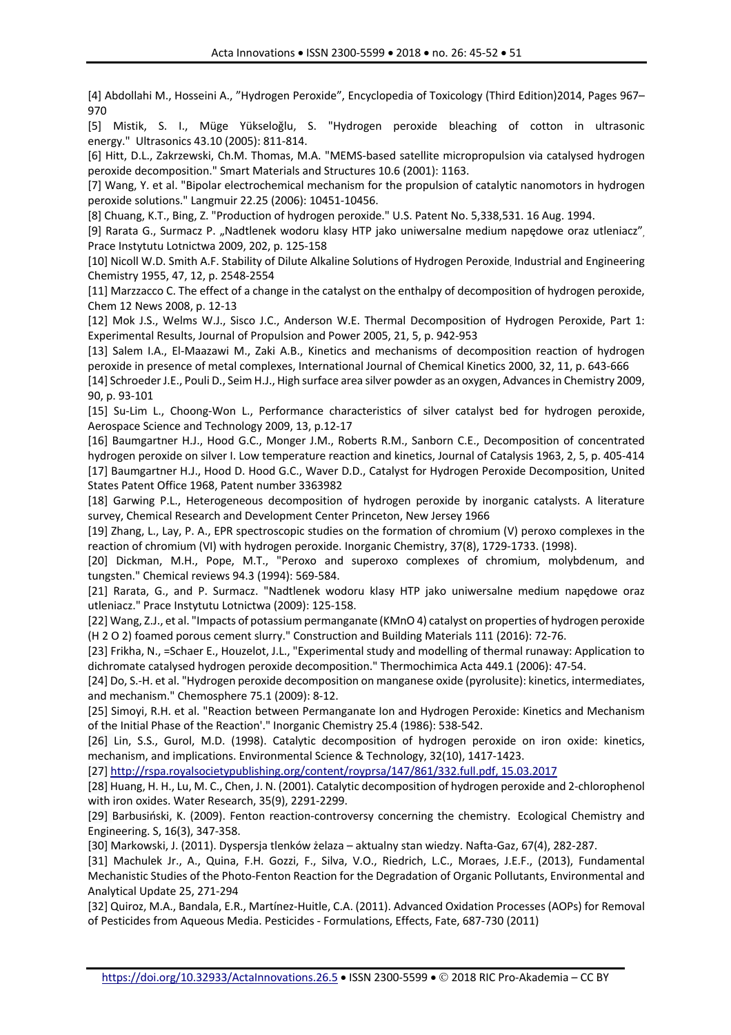[4] Abdollahi M., Hosseini A., "Hydrogen Peroxide", Encyclopedia of Toxicology (Third Edition)2014, Pages 967– 970

[5] Mistik, S. I., Müge Yükseloğlu, S. "Hydrogen peroxide bleaching of cotton in ultrasonic energy." Ultrasonics 43.10 (2005): 811-814.

[6] Hitt, D.L., Zakrzewski, Ch.M. Thomas, M.A. "MEMS-based satellite micropropulsion via catalysed hydrogen peroxide decomposition." Smart Materials and Structures 10.6 (2001): 1163.

[7] Wang, Y. et al. "Bipolar electrochemical mechanism for the propulsion of catalytic nanomotors in hydrogen peroxide solutions." Langmuir 22.25 (2006): 10451-10456.

[8] Chuang, K.T., Bing, Z. "Production of hydrogen peroxide." U.S. Patent No. 5,338,531. 16 Aug. 1994.

[9] Rarata G., Surmacz P. "Nadtlenek wodoru klasy HTP jako uniwersalne medium napędowe oraz utleniacz", Prace Instytutu Lotnictwa 2009, 202, p. 125-158

[10] Nicoll W.D. Smith A.F. Stability of Dilute Alkaline Solutions of Hydrogen Peroxide, Industrial and Engineering Chemistry 1955, 47, 12, p. 2548-2554

[11] Marzzacco C. The effect of a change in the catalyst on the enthalpy of decomposition of hydrogen peroxide, Chem 12 News 2008, p. 12-13

[12] Mok J.S., Welms W.J., Sisco J.C., Anderson W.E. Thermal Decomposition of Hydrogen Peroxide, Part 1: Experimental Results, Journal of Propulsion and Power 2005, 21, 5, p. 942-953

[13] Salem I.A., El-Maazawi M., Zaki A.B., Kinetics and mechanisms of decomposition reaction of hydrogen peroxide in presence of metal complexes, International Journal of Chemical Kinetics 2000, 32, 11, p. 643-666

[14] Schroeder J.E., Pouli D., Seim H.J., High surface area silver powder as an oxygen, Advances in Chemistry 2009, 90, p. 93-101

[15] Su-Lim L., Choong-Won L., Performance characteristics of silver catalyst bed for hydrogen peroxide, Aerospace Science and Technology 2009, 13, p.12-17

[16] Baumgartner H.J., Hood G.C., Monger J.M., Roberts R.M., Sanborn C.E., Decomposition of concentrated hydrogen peroxide on silver I. Low temperature reaction and kinetics, Journal of Catalysis 1963, 2, 5, p. 405-414 [17] Baumgartner H.J., Hood D. Hood G.C., Waver D.D., Catalyst for Hydrogen Peroxide Decomposition, United States Patent Office 1968, Patent number 3363982

[18] Garwing P.L., Heterogeneous decomposition of hydrogen peroxide by inorganic catalysts. A literature survey, Chemical Research and Development Center Princeton, New Jersey 1966

[19] Zhang, L., Lay, P. A., EPR spectroscopic studies on the formation of chromium (V) peroxo complexes in the reaction of chromium (VI) with hydrogen peroxide. Inorganic Chemistry, 37(8), 1729-1733. (1998).

[20] Dickman, M.H., Pope, M.T., "Peroxo and superoxo complexes of chromium, molybdenum, and tungsten." Chemical reviews 94.3 (1994): 569-584.

[21] Rarata, G., and P. Surmacz. "Nadtlenek wodoru klasy HTP jako uniwersalne medium napędowe oraz utleniacz." Prace Instytutu Lotnictwa (2009): 125-158.

[22] Wang, Z.J., et al. "Impacts of potassium permanganate (KMnO 4) catalyst on properties of hydrogen peroxide (H 2 O 2) foamed porous cement slurry." Construction and Building Materials 111 (2016): 72-76.

[23] Frikha, N., =Schaer E., Houzelot, J.L., "Experimental study and modelling of thermal runaway: Application to dichromate catalysed hydrogen peroxide decomposition." Thermochimica Acta 449.1 (2006): 47-54.

[24] Do, S.-H. et al. "Hydrogen peroxide decomposition on manganese oxide (pyrolusite): kinetics, intermediates, and mechanism." Chemosphere 75.1 (2009): 8-12.

[25] Simoyi, R.H. et al. "Reaction between Permanganate Ion and Hydrogen Peroxide: Kinetics and Mechanism of the Initial Phase of the Reaction'." Inorganic Chemistry 25.4 (1986): 538-542.

[26] Lin, S.S., Gurol, M.D. (1998). Catalytic decomposition of hydrogen peroxide on iron oxide: kinetics, mechanism, and implications. Environmental Science & Technology, 32(10), 1417-1423.

[27] http://rspa.royalsocietypublishing.org/content/royprsa/147/861/332.full.pdf, 15.03.2017

[28] Huang, H. H., Lu, M. C., Chen, J. N. (2001). Catalytic decomposition of hydrogen peroxide and 2-chlorophenol with iron oxides. Water Research, 35(9), 2291-2299.

[29] Barbusiński, K. (2009). Fenton reaction-controversy concerning the chemistry. Ecological Chemistry and Engineering. S, 16(3), 347-358.

[30] Markowski, J. (2011). Dyspersja tlenków żelaza – aktualny stan wiedzy. Nafta-Gaz, 67(4), 282-287.

[31] Machulek Jr., A., Quina, F.H. Gozzi, F., Silva, V.O., Riedrich, L.C., Moraes, J.E.F., (2013), Fundamental Mechanistic Studies of the Photo-Fenton Reaction for the Degradation of Organic Pollutants, Environmental and Analytical Update 25, 271-294

[32] Quiroz, M.A., Bandala, E.R., Martínez-Huitle, C.A. (2011). Advanced Oxidation Processes (AOPs) for Removal of Pesticides from Aqueous Media. Pesticides - Formulations, Effects, Fate, 687-730 (2011)